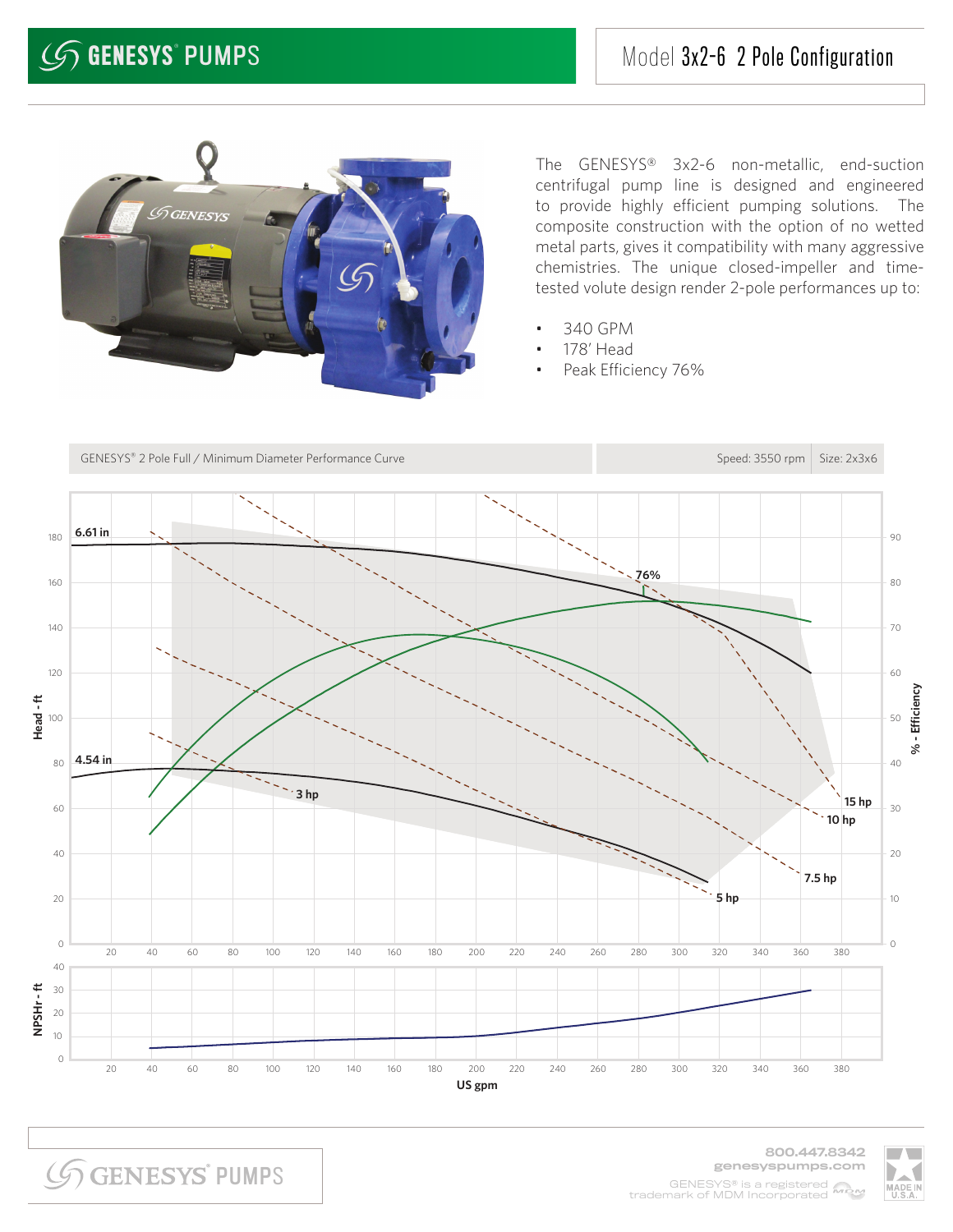

The GENESYS® 3x2-6 non-metallic, end-suction centrifugal pump line is designed and engineered to provide highly efficient pumping solutions. The composite construction with the option of no wetted metal parts, gives it compatibility with many aggressive chemistries. The unique closed-impeller and timetested volute design render 2-pole performances up to:

- 340 GPM
- 178' Head
- Peak Efficiency 76%



**SGENESYS PUMPS** 

800.447.8342 genesyspumps.com GENESYS® is a registered MOM trademark of MDM Incorporated

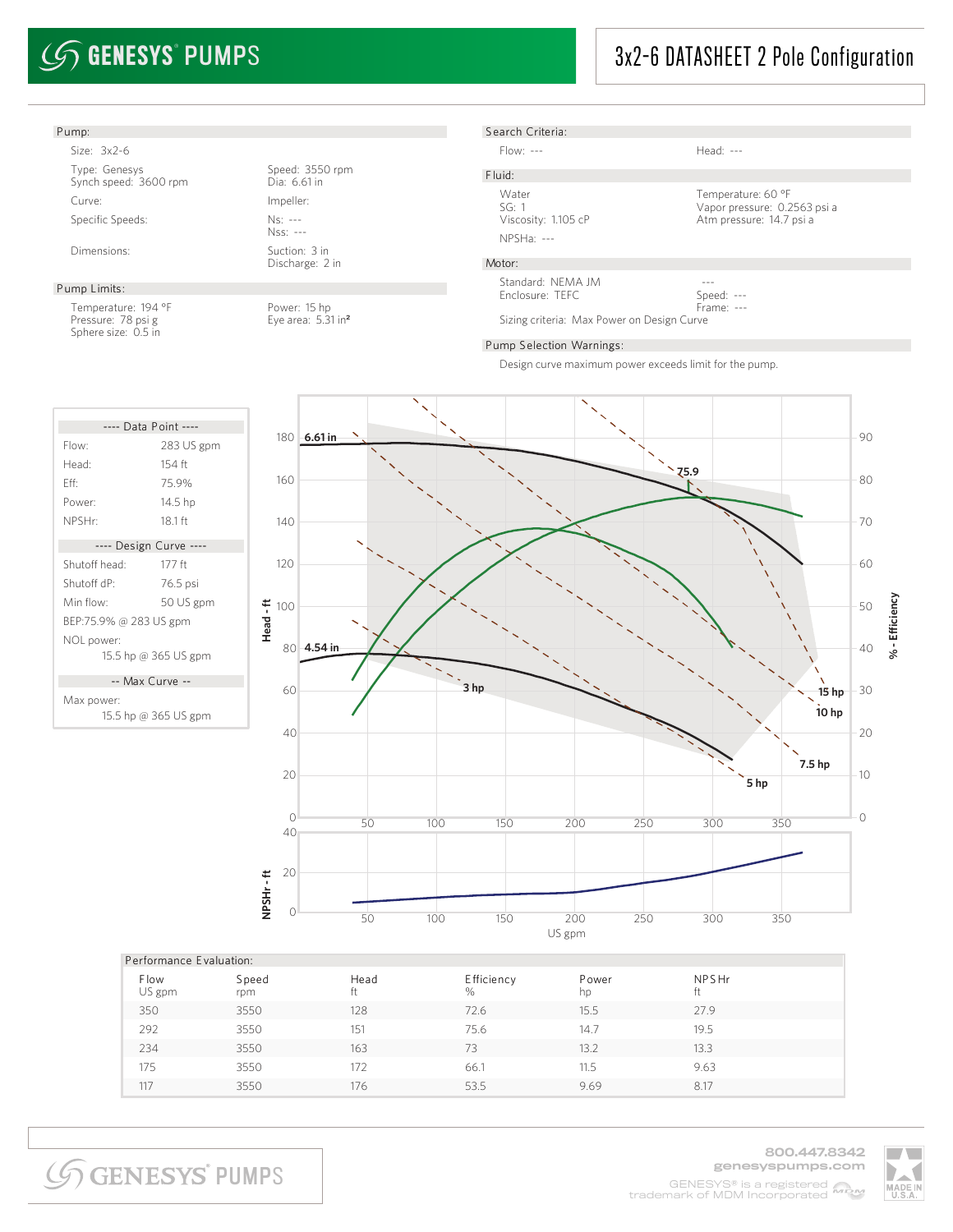# $\mathcal{G}$  GENESYS° PUMPS

## 3x2-6 DATASHEET 2 Pole Configuration

#### Pump: Size: 3x2-6 Type: Genesys Speed: 3550 rpm Synch speed: 3600 rpm Dia: 6.61 in Curve: Impeller: Specific Speeds: Ns: ---Nss: --- Dimensions: Suction: 3 in Discharge: 2 in Pump Limits: Temperature: 194 °F Power: 15 hp<br>Pressure: 78 psi g Pressure: 78 psi g Pressure: 78 psi g Sphere size: 0.5 in S earch Criteria: Flow: --- Head: ---F luid: Water Temperature: 60 °F SG: 1 Vapor pressure: 0.2563 psi a Atm pressure: 14.7 psi a NPSHa: --- Motor: --- Speed: Frame: --- Standard: NEMA JM Enclosure: TEFC Sizing criteria: Max Power on Design Curve Pump S election Warnings:

Design curve maximum power exceeds limit for the pump.



|                       | Performance Evaluation: |            |                            |             |             |  |  |  |
|-----------------------|-------------------------|------------|----------------------------|-------------|-------------|--|--|--|
| <b>Flow</b><br>US gpm | Speed<br>rpm            | Head<br>ft | <b>E</b> fficiency<br>$\%$ | Power<br>hp | NPSHr<br>ft |  |  |  |
| 350                   | 3550                    | 128        | 72.6                       | 15.5        | 27.9        |  |  |  |
| 292                   | 3550                    | 151        | 75.6                       | 14.7        | 19.5        |  |  |  |
| 234                   | 3550                    | 163        | 73                         | 13.2        | 13.3        |  |  |  |
| 175                   | 3550                    | 172        | 66.1                       | 11.5        | 9.63        |  |  |  |
| 117                   | 3550                    | 176        | 53.5                       | 9.69        | 8.17        |  |  |  |

---- Data Point ---- Flow: 283 US gpm Head: 154 ft Eff: 75.9% Power: 14.5 hp NPSHr: 18.1 ft ---- Design Curve ---- Shutoff head: 177 ft Shutoff dP: 76.5 psi



Max power: 15.5 hp @ 365 US gpm

**SGENESYS PUMPS** 

800.447.8342 genesyspumps.com GENESYS® is a registered MOM trademark of MDM Incorporated

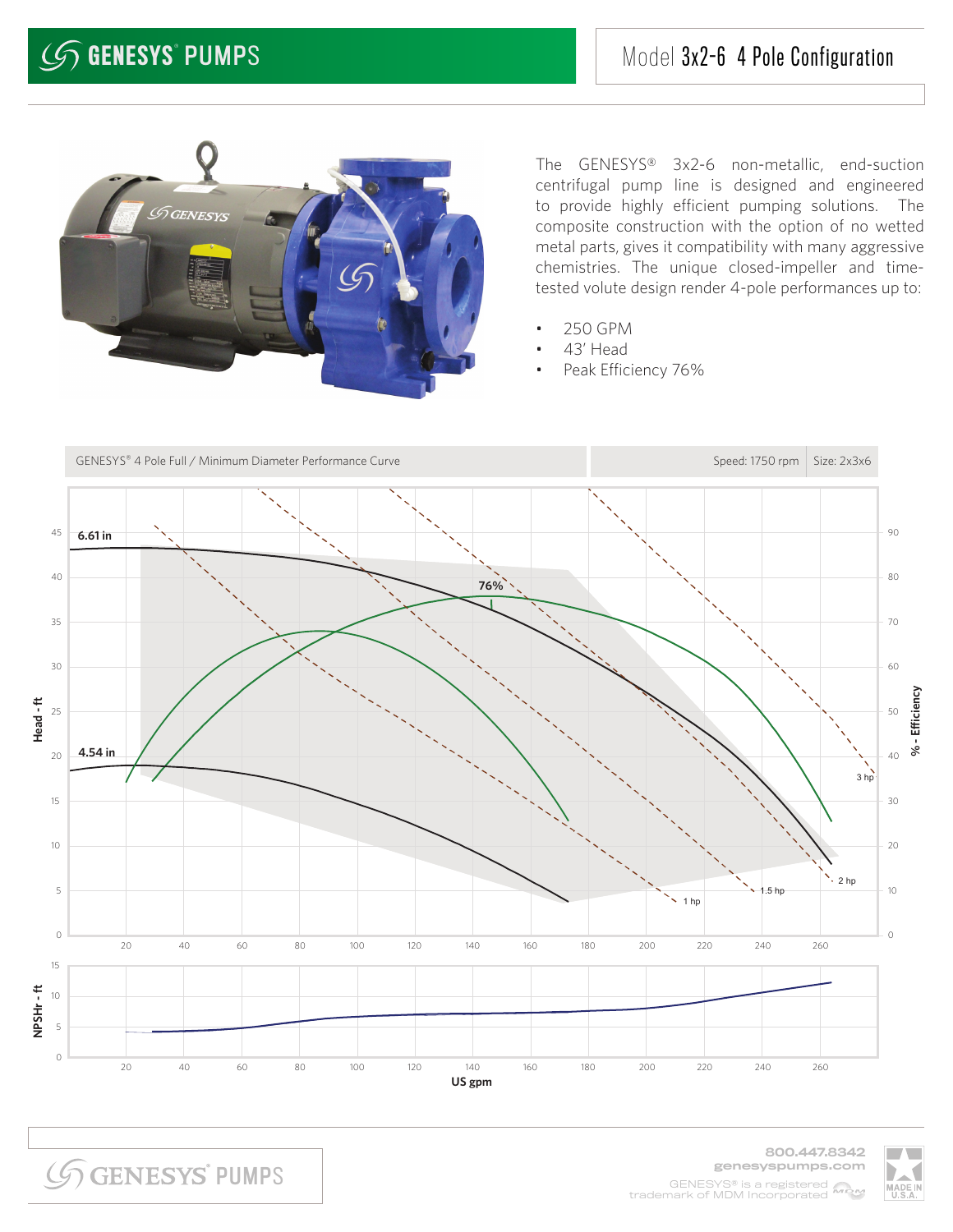

The GENESYS® 3x2-6 non-metallic, end-suction centrifugal pump line is designed and engineered to provide highly efficient pumping solutions. The composite construction with the option of no wetted metal parts, gives it compatibility with many aggressive chemistries. The unique closed-impeller and timetested volute design render 4-pole performances up to:

- 250 GPM
- 43' Head
- Peak Efficiency 76%



**SGENESYS PUMPS** 

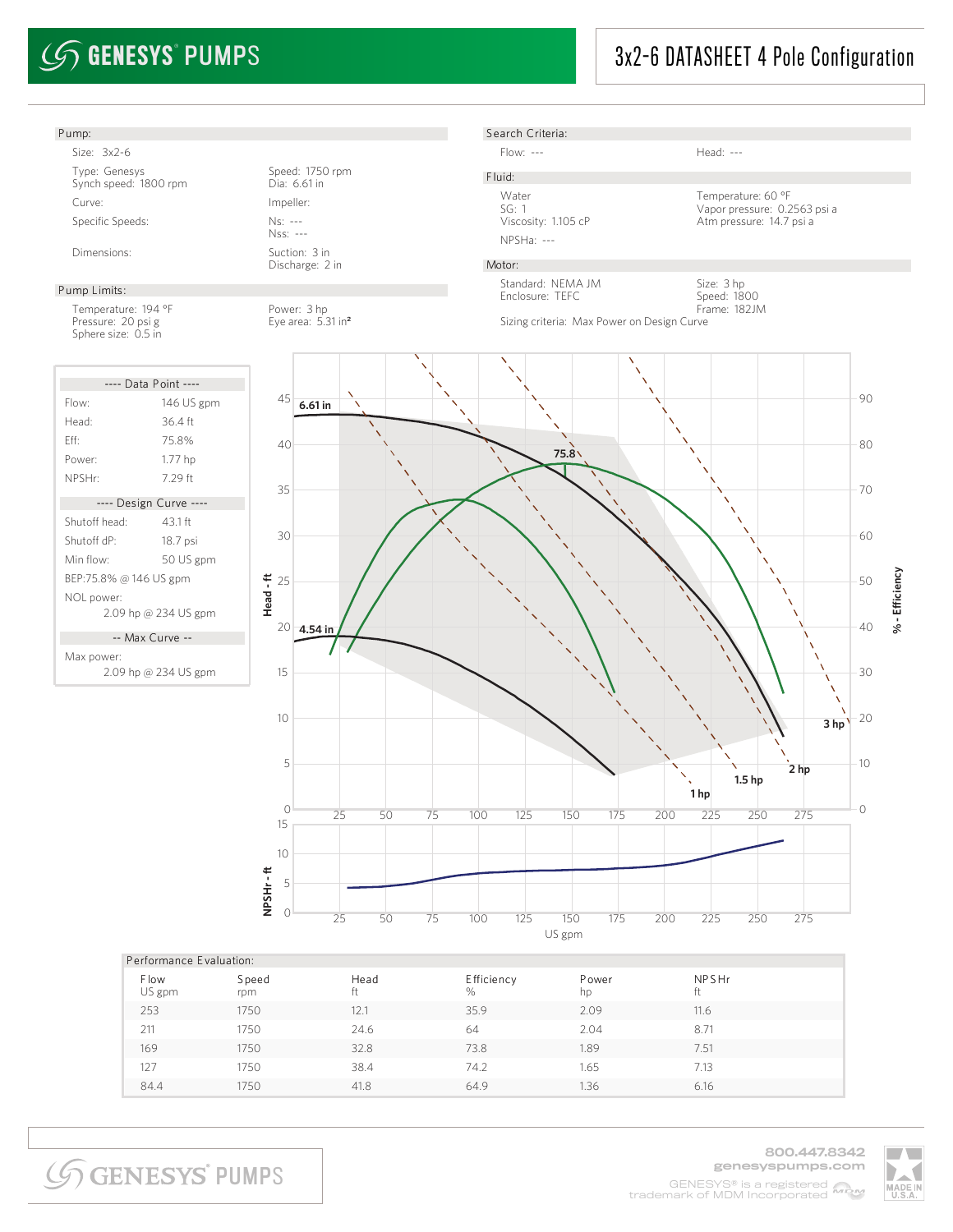## 3x2-6 DATASHEET 4 Pole Configuration



**SGENESYS PUMPS** 

800.447.8342 genesyspumps.com GENESYS® is a registered MOM trademark of MDM Incorporated

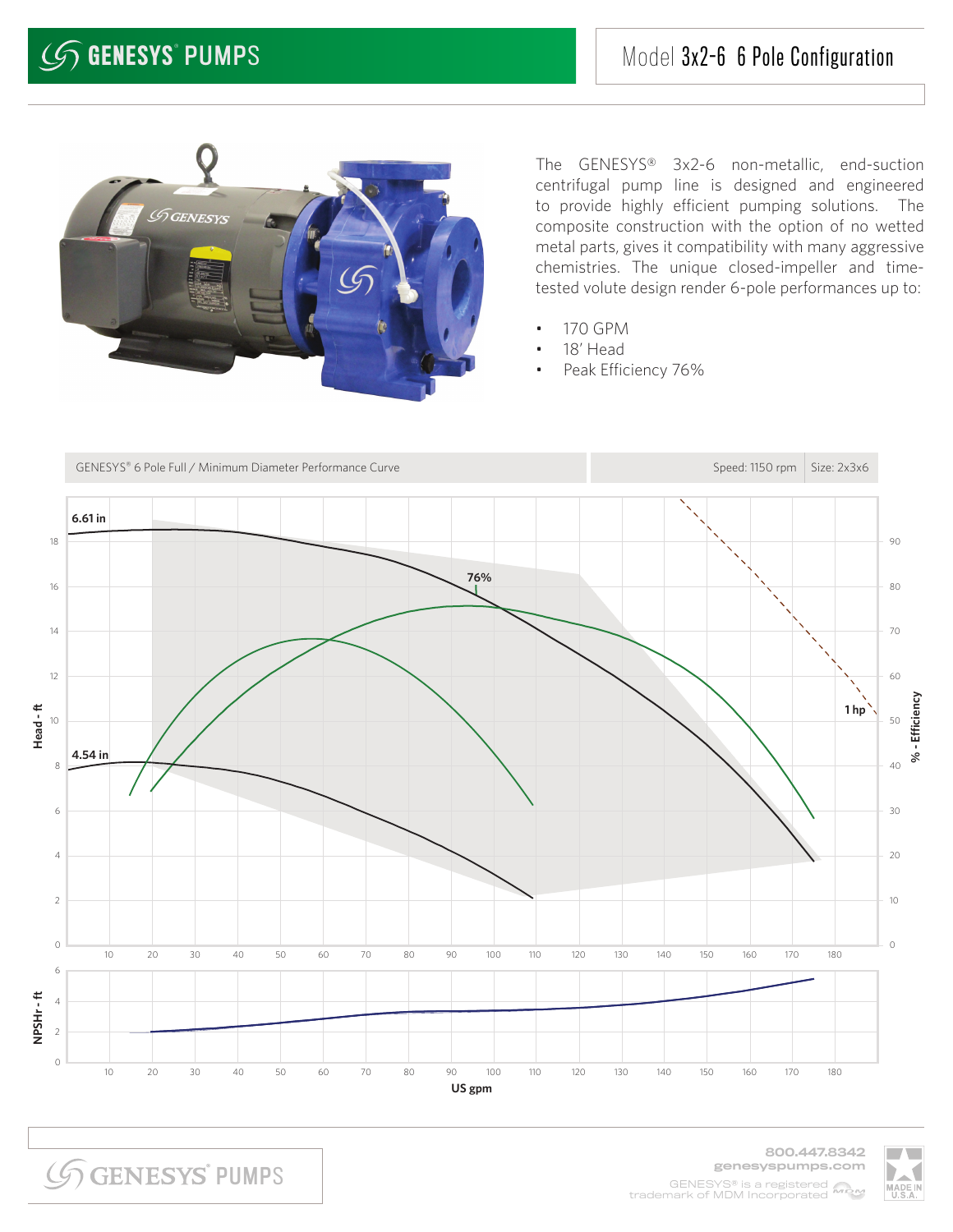

The GENESYS® 3x2-6 non-metallic, end-suction centrifugal pump line is designed and engineered to provide highly efficient pumping solutions. The composite construction with the option of no wetted metal parts, gives it compatibility with many aggressive chemistries. The unique closed-impeller and timetested volute design render 6-pole performances up to:

- 170 GPM
- 18' Head
- Peak Efficiency 76%



**SGENESYS PUMPS**